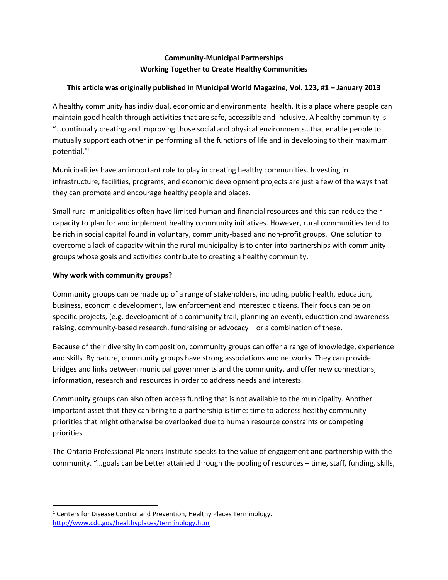# **Community-Municipal Partnerships Working Together to Create Healthy Communities**

# **This article was originally published in Municipal World Magazine, Vol. 123, #1 – January 2013**

A healthy community has individual, economic and environmental health. It is a place where people can maintain good health through activities that are safe, accessible and inclusive. A healthy community is "…continually creating and improving those social and physical environments…that enable people to mutually support each other in performing all the functions of life and in developing to their maximum potential."<sup>1</sup>

Municipalities have an important role to play in creating healthy communities. Investing in infrastructure, facilities, programs, and economic development projects are just a few of the ways that they can promote and encourage healthy people and places.

Small rural municipalities often have limited human and financial resources and this can reduce their capacity to plan for and implement healthy community initiatives. However, rural communities tend to be rich in social capital found in voluntary, community-based and non-profit groups. One solution to overcome a lack of capacity within the rural municipality is to enter into partnerships with community groups whose goals and activities contribute to creating a healthy community.

## **Why work with community groups?**

Community groups can be made up of a range of stakeholders, including public health, education, business, economic development, law enforcement and interested citizens. Their focus can be on specific projects, (e.g. development of a community trail, planning an event), education and awareness raising, community-based research, fundraising or advocacy – or a combination of these.

Because of their diversity in composition, community groups can offer a range of knowledge, experience and skills. By nature, community groups have strong associations and networks. They can provide bridges and links between municipal governments and the community, and offer new connections, information, research and resources in order to address needs and interests.

Community groups can also often access funding that is not available to the municipality. Another important asset that they can bring to a partnership is time: time to address healthy community priorities that might otherwise be overlooked due to human resource constraints or competing priorities.

The Ontario Professional Planners Institute speaks to the value of engagement and partnership with the community. "…goals can be better attained through the pooling of resources – time, staff, funding, skills,

 $\overline{\phantom{a}}$  $1$  Centers for Disease Control and Prevention, Healthy Places Terminology. <http://www.cdc.gov/healthyplaces/terminology.htm>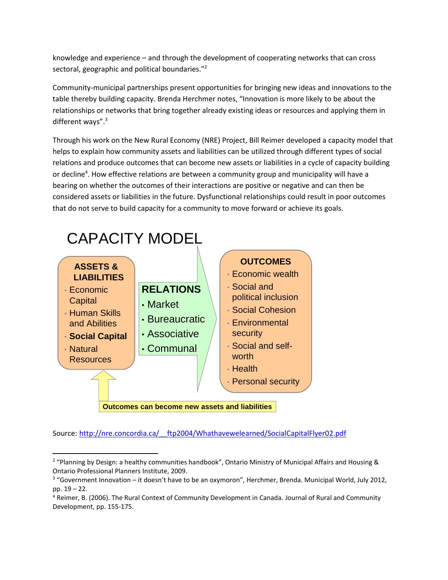knowledge and experience – and through the development of cooperating networks that can cross sectoral, geographic and political boundaries."<sup>2</sup>

Community-municipal partnerships present opportunities for bringing new ideas and innovations to the table thereby building capacity. Brenda Herchmer notes, "Innovation is more likely to be about the relationships or networks that bring together already existing ideas or resources and applying them in different ways".<sup>3</sup>

Through his work on the New Rural Economy (NRE) Project, Bill Reimer developed a capacity model that helps to explain how community assets and liabilities can be utilized through different types of social relations and produce outcomes that can become new assets or liabilities in a cycle of capacity building or decline<sup>4</sup>. How effective relations are between a community group and municipality will have a bearing on whether the outcomes of their interactions are positive or negative and can then be considered assets or liabilities in the future. Dysfunctional relationships could result in poor outcomes that do not serve to build capacity for a community to move forward or achieve its goals.



Source: [http://nre.concordia.ca/\\_\\_ftp2004/Whathavewelearned/SocialCapitalFlyer02.pdf](http://nre.concordia.ca/__ftp2004/Whathavewelearned/SocialCapitalFlyer02.pdf)

 $\overline{a}$ 

<sup>&</sup>lt;sup>2</sup> "Planning by Design: a healthy communities handbook", Ontario Ministry of Municipal Affairs and Housing & Ontario Professional Planners Institute, 2009.

<sup>&</sup>lt;sup>3</sup> "Government Innovation – it doesn't have to be an oxymoron", Herchmer, Brenda. Municipal World, July 2012, pp. 19 – 22.

<sup>4</sup> Reimer, B. (2006). The Rural Context of Community Development in Canada. Journal of Rural and Community Development, pp. 155-175.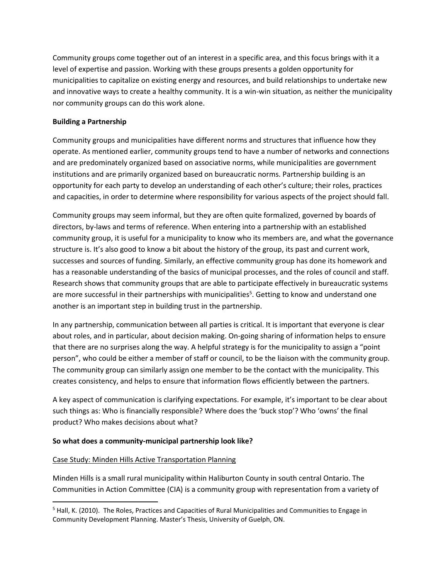Community groups come together out of an interest in a specific area, and this focus brings with it a level of expertise and passion. Working with these groups presents a golden opportunity for municipalities to capitalize on existing energy and resources, and build relationships to undertake new and innovative ways to create a healthy community. It is a win-win situation, as neither the municipality nor community groups can do this work alone.

#### **Building a Partnership**

Community groups and municipalities have different norms and structures that influence how they operate. As mentioned earlier, community groups tend to have a number of networks and connections and are predominately organized based on associative norms, while municipalities are government institutions and are primarily organized based on bureaucratic norms. Partnership building is an opportunity for each party to develop an understanding of each other's culture; their roles, practices and capacities, in order to determine where responsibility for various aspects of the project should fall.

Community groups may seem informal, but they are often quite formalized, governed by boards of directors, by-laws and terms of reference. When entering into a partnership with an established community group, it is useful for a municipality to know who its members are, and what the governance structure is. It's also good to know a bit about the history of the group, its past and current work, successes and sources of funding. Similarly, an effective community group has done its homework and has a reasonable understanding of the basics of municipal processes, and the roles of council and staff. Research shows that community groups that are able to participate effectively in bureaucratic systems are more successful in their partnerships with municipalities<sup>5</sup>. Getting to know and understand one another is an important step in building trust in the partnership.

In any partnership, communication between all parties is critical. It is important that everyone is clear about roles, and in particular, about decision making. On-going sharing of information helps to ensure that there are no surprises along the way. A helpful strategy is for the municipality to assign a "point person", who could be either a member of staff or council, to be the liaison with the community group. The community group can similarly assign one member to be the contact with the municipality. This creates consistency, and helps to ensure that information flows efficiently between the partners.

A key aspect of communication is clarifying expectations. For example, it's important to be clear about such things as: Who is financially responsible? Where does the 'buck stop'? Who 'owns' the final product? Who makes decisions about what?

## **So what does a community-municipal partnership look like?**

#### Case Study: Minden Hills Active Transportation Planning

 $\overline{\phantom{a}}$ 

Minden Hills is a small rural municipality within Haliburton County in south central Ontario. The Communities in Action Committee (CIA) is a community group with representation from a variety of

 $<sup>5</sup>$  Hall, K. (2010). The Roles, Practices and Capacities of Rural Municipalities and Communities to Engage in</sup> Community Development Planning. Master's Thesis, University of Guelph, ON.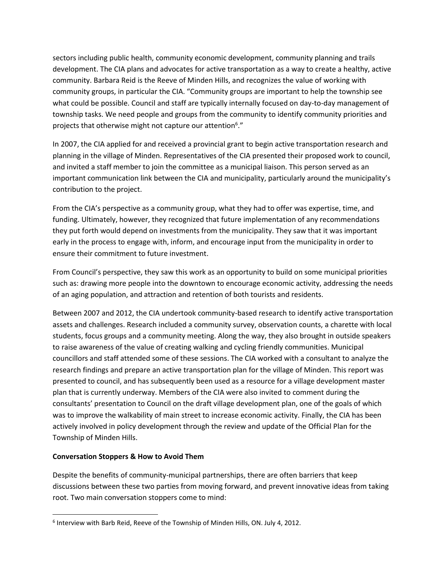sectors including public health, community economic development, community planning and trails development. The CIA plans and advocates for active transportation as a way to create a healthy, active community. Barbara Reid is the Reeve of Minden Hills, and recognizes the value of working with community groups, in particular the CIA. "Community groups are important to help the township see what could be possible. Council and staff are typically internally focused on day-to-day management of township tasks. We need people and groups from the community to identify community priorities and projects that otherwise might not capture our attention<sup>6</sup>."

In 2007, the CIA applied for and received a provincial grant to begin active transportation research and planning in the village of Minden. Representatives of the CIA presented their proposed work to council, and invited a staff member to join the committee as a municipal liaison. This person served as an important communication link between the CIA and municipality, particularly around the municipality's contribution to the project.

From the CIA's perspective as a community group, what they had to offer was expertise, time, and funding. Ultimately, however, they recognized that future implementation of any recommendations they put forth would depend on investments from the municipality. They saw that it was important early in the process to engage with, inform, and encourage input from the municipality in order to ensure their commitment to future investment.

From Council's perspective, they saw this work as an opportunity to build on some municipal priorities such as: drawing more people into the downtown to encourage economic activity, addressing the needs of an aging population, and attraction and retention of both tourists and residents.

Between 2007 and 2012, the CIA undertook community-based research to identify active transportation assets and challenges. Research included a community survey, observation counts, a charette with local students, focus groups and a community meeting. Along the way, they also brought in outside speakers to raise awareness of the value of creating walking and cycling friendly communities. Municipal councillors and staff attended some of these sessions. The CIA worked with a consultant to analyze the research findings and prepare an active transportation plan for the village of Minden. This report was presented to council, and has subsequently been used as a resource for a village development master plan that is currently underway. Members of the CIA were also invited to comment during the consultants' presentation to Council on the draft village development plan, one of the goals of which was to improve the walkability of main street to increase economic activity. Finally, the CIA has been actively involved in policy development through the review and update of the Official Plan for the Township of Minden Hills.

#### **Conversation Stoppers & How to Avoid Them**

 $\overline{\phantom{a}}$ 

Despite the benefits of community-municipal partnerships, there are often barriers that keep discussions between these two parties from moving forward, and prevent innovative ideas from taking root. Two main conversation stoppers come to mind:

<sup>&</sup>lt;sup>6</sup> Interview with Barb Reid, Reeve of the Township of Minden Hills, ON. July 4, 2012.